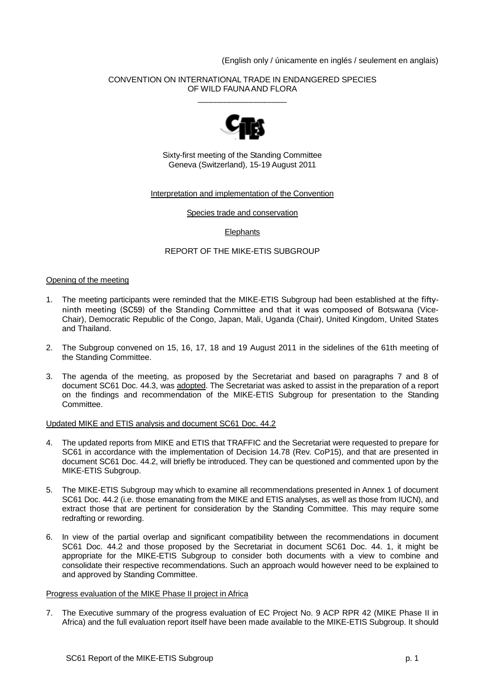(English only / únicamente en inglés / seulement en anglais)

## CONVENTION ON INTERNATIONAL TRADE IN ENDANGERED SPECIES OF WILD FAUNA AND FLORA \_\_\_\_\_\_\_\_\_\_\_\_\_\_\_\_\_\_\_\_



Sixty-first meeting of the Standing Committee Geneva (Switzerland), 15-19 August 2011

## Interpretation and implementation of the Convention

Species trade and conservation

# **Elephants**

# REPORT OF THE MIKE-ETIS SUBGROUP

#### Opening of the meeting

- 1. The meeting participants were reminded that the MIKE-ETIS Subgroup had been established at the fiftyninth meeting (SC59) of the Standing Committee and that it was composed of Botswana (Vice-Chair), Democratic Republic of the Congo, Japan, Mali, Uganda (Chair), United Kingdom, United States and Thailand.
- 2. The Subgroup convened on 15, 16, 17, 18 and 19 August 2011 in the sidelines of the 61th meeting of the Standing Committee.
- 3. The agenda of the meeting, as proposed by the Secretariat and based on paragraphs 7 and 8 of document SC61 Doc. 44.3, was adopted. The Secretariat was asked to assist in the preparation of a report on the findings and recommendation of the MIKE-ETIS Subgroup for presentation to the Standing Committee.

## Updated MIKE and ETIS analysis and document SC61 Doc. 44.2

- 4. The updated reports from MIKE and ETIS that TRAFFIC and the Secretariat were requested to prepare for SC61 in accordance with the implementation of Decision 14.78 (Rev. CoP15), and that are presented in document SC61 Doc. 44.2, will briefly be introduced. They can be questioned and commented upon by the MIKE-ETIS Subgroup.
- 5. The MIKE-ETIS Subgroup may which to examine all recommendations presented in Annex 1 of document SC61 Doc. 44.2 (i.e. those emanating from the MIKE and ETIS analyses, as well as those from IUCN), and extract those that are pertinent for consideration by the Standing Committee. This may require some redrafting or rewording.
- 6. In view of the partial overlap and significant compatibility between the recommendations in document SC61 Doc. 44.2 and those proposed by the Secretariat in document SC61 Doc. 44. 1, it might be appropriate for the MIKE-ETIS Subgroup to consider both documents with a view to combine and consolidate their respective recommendations. Such an approach would however need to be explained to and approved by Standing Committee.

#### Progress evaluation of the MIKE Phase II project in Africa

7. The Executive summary of the progress evaluation of EC Project No. 9 ACP RPR 42 (MIKE Phase II in Africa) and the full evaluation report itself have been made available to the MIKE-ETIS Subgroup. It should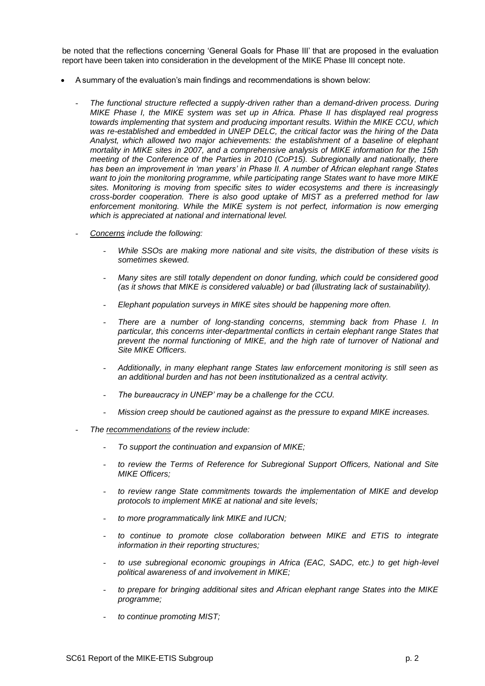be noted that the reflections concerning 'General Goals for Phase III' that are proposed in the evaluation report have been taken into consideration in the development of the MIKE Phase III concept note.

- A summary of the evaluation's main findings and recommendations is shown below:
	- *The functional structure reflected a supply-driven rather than a demand-driven process. During MIKE Phase I, the MIKE system was set up in Africa. Phase II has displayed real progress towards implementing that system and producing important results. Within the MIKE CCU, which was re-established and embedded in UNEP DELC, the critical factor was the hiring of the Data Analyst, which allowed two major achievements: the establishment of a baseline of elephant mortality in MIKE sites in 2007, and a comprehensive analysis of MIKE information for the 15th meeting of the Conference of the Parties in 2010 (CoP15). Subregionally and nationally, there has been an improvement in 'man years' in Phase II. A number of African elephant range States want to join the monitoring programme, while participating range States want to have more MIKE sites. Monitoring is moving from specific sites to wider ecosystems and there is increasingly cross-border cooperation. There is also good uptake of MIST as a preferred method for law enforcement monitoring. While the MIKE system is not perfect, information is now emerging which is appreciated at national and international level.*
	- *Concerns include the following:*
		- *While SSOs are making more national and site visits, the distribution of these visits is sometimes skewed.*
		- *Many sites are still totally dependent on donor funding, which could be considered good (as it shows that MIKE is considered valuable) or bad (illustrating lack of sustainability).*
		- *Elephant population surveys in MIKE sites should be happening more often.*
		- There are a number of long-standing concerns, stemming back from Phase I. In *particular, this concerns inter-departmental conflicts in certain elephant range States that prevent the normal functioning of MIKE, and the high rate of turnover of National and Site MIKE Officers.*
		- *Additionally, in many elephant range States law enforcement monitoring is still seen as an additional burden and has not been institutionalized as a central activity.*
		- *The bureaucracy in UNEP' may be a challenge for the CCU.*
		- *Mission creep should be cautioned against as the pressure to expand MIKE increases.*
	- *The recommendations of the review include:*
		- *To support the continuation and expansion of MIKE;*
		- to review the Terms of Reference for Subregional Support Officers, National and Site *MIKE Officers;*
		- *to review range State commitments towards the implementation of MIKE and develop protocols to implement MIKE at national and site levels;*
		- *to more programmatically link MIKE and IUCN;*
		- *to continue to promote close collaboration between MIKE and ETIS to integrate information in their reporting structures;*
		- to use subregional economic groupings in Africa (EAC, SADC, etc.) to get high-level *political awareness of and involvement in MIKE;*
		- *to prepare for bringing additional sites and African elephant range States into the MIKE programme;*
		- *to continue promoting MIST;*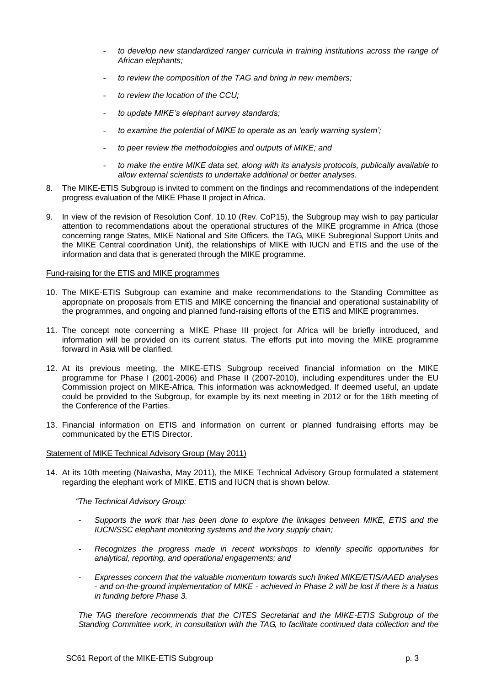- *to develop new standardized ranger curricula in training institutions across the range of African elephants;*
- *to review the composition of the TAG and bring in new members;*
- *to review the location of the CCU;*
- *to update MIKE's elephant survey standards;*
- to examine the potential of MIKE to operate as an 'early warning system';
- *to peer review the methodologies and outputs of MIKE; and*
- *to make the entire MIKE data set, along with its analysis protocols, publically available to allow external scientists to undertake additional or better analyses.*
- 8. The MIKE-ETIS Subgroup is invited to comment on the findings and recommendations of the independent progress evaluation of the MIKE Phase II project in Africa.
- 9. In view of the revision of Resolution Conf. 10.10 (Rev. CoP15), the Subgroup may wish to pay particular attention to recommendations about the operational structures of the MIKE programme in Africa (those concerning range States, MIKE National and Site Officers, the TAG, MIKE Subregional Support Units and the MIKE Central coordination Unit), the relationships of MIKE with IUCN and ETIS and the use of the information and data that is generated through the MIKE programme.

#### Fund-raising for the ETIS and MIKE programmes

- 10. The MIKE-ETIS Subgroup can examine and make recommendations to the Standing Committee as appropriate on proposals from ETIS and MIKE concerning the financial and operational sustainability of the programmes, and ongoing and planned fund-raising efforts of the ETIS and MIKE programmes.
- 11. The concept note concerning a MIKE Phase III project for Africa will be briefly introduced, and information will be provided on its current status. The efforts put into moving the MIKE programme forward in Asia will be clarified.
- 12. At its previous meeting, the MIKE-ETIS Subgroup received financial information on the MIKE programme for Phase I (2001-2006) and Phase II (2007-2010), including expenditures under the EU Commission project on MIKE-Africa. This information was acknowledged. If deemed useful, an update could be provided to the Subgroup, for example by its next meeting in 2012 or for the 16th meeting of the Conference of the Parties.
- 13. Financial information on ETIS and information on current or planned fundraising efforts may be communicated by the ETIS Director.

#### Statement of MIKE Technical Advisory Group (May 2011)

14. At its 10th meeting (Naivasha, May 2011), the MIKE Technical Advisory Group formulated a statement regarding the elephant work of MIKE, ETIS and IUCN that is shown below.

*"The Technical Advisory Group:*

- *- Supports the work that has been done to explore the linkages between MIKE, ETIS and the IUCN/SSC elephant monitoring systems and the ivory supply chain;*
- *- Recognizes the progress made in recent workshops to identify specific opportunities for analytical, reporting, and operational engagements; and*
- *- Expresses concern that the valuable momentum towards such linked MIKE/ETIS/AAED analyses - and on-the-ground implementation of MIKE - achieved in Phase 2 will be lost if there is a hiatus in funding before Phase 3.*

*The TAG therefore recommends that the CITES Secretariat and the MIKE-ETIS Subgroup of the Standing Committee work, in consultation with the TAG, to facilitate continued data collection and the*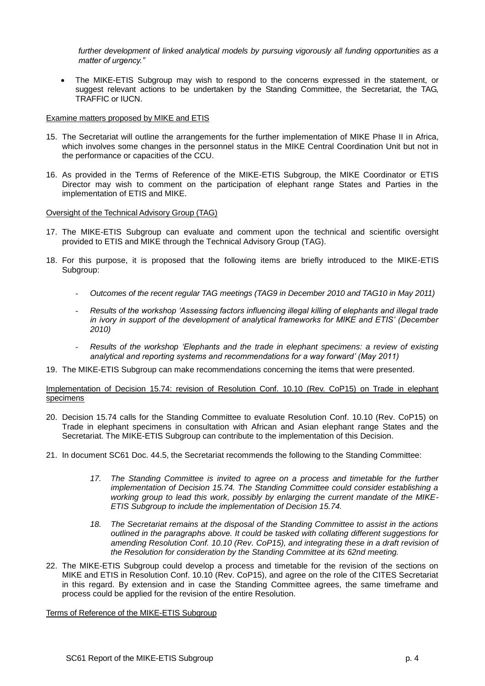*further development of linked analytical models by pursuing vigorously all funding opportunities as a matter of urgency."*

• The MIKE-ETIS Subgroup may wish to respond to the concerns expressed in the statement, or suggest relevant actions to be undertaken by the Standing Committee, the Secretariat, the TAG, TRAFFIC or IUCN.

## **Examine matters proposed by MIKE and ETIS**

- 15. The Secretariat will outline the arrangements for the further implementation of MIKE Phase II in Africa, which involves some changes in the personnel status in the MIKE Central Coordination Unit but not in the performance or capacities of the CCU.
- 16. As provided in the Terms of Reference of the MIKE-ETIS Subgroup, the MIKE Coordinator or ETIS Director may wish to comment on the participation of elephant range States and Parties in the implementation of ETIS and MIKE.

## Oversight of the Technical Advisory Group (TAG)

- 17. The MIKE-ETIS Subgroup can evaluate and comment upon the technical and scientific oversight provided to ETIS and MIKE through the Technical Advisory Group (TAG).
- 18. For this purpose, it is proposed that the following items are briefly introduced to the MIKE-ETIS Subgroup:
	- *Outcomes of the recent regular TAG meetings (TAG9 in December 2010 and TAG10 in May 2011)*
	- *Results of the workshop 'Assessing factors influencing illegal killing of elephants and illegal trade in ivory in support of the development of analytical frameworks for MIKE and ETIS' (December 2010)*
	- *Results of the workshop 'Elephants and the trade in elephant specimens: a review of existing analytical and reporting systems and recommendations for a way forward' (May 2011)*
- 19. The MIKE-ETIS Subgroup can make recommendations concerning the items that were presented.

## Implementation of Decision 15.74: revision of Resolution Conf. 10.10 (Rev. CoP15) on Trade in elephant specimens

- 20. Decision 15.74 calls for the Standing Committee to evaluate Resolution Conf. 10.10 (Rev. CoP15) on Trade in elephant specimens in consultation with African and Asian elephant range States and the Secretariat. The MIKE-ETIS Subgroup can contribute to the implementation of this Decision.
- 21. In document SC61 Doc. 44.5, the Secretariat recommends the following to the Standing Committee:
	- *17. The Standing Committee is invited to agree on a process and timetable for the further implementation of Decision 15.74. The Standing Committee could consider establishing a working group to lead this work, possibly by enlarging the current mandate of the MIKE-ETIS Subgroup to include the implementation of Decision 15.74.*
	- *18. The Secretariat remains at the disposal of the Standing Committee to assist in the actions outlined in the paragraphs above. It could be tasked with collating different suggestions for amending Resolution Conf. 10.10 (Rev. CoP15), and integrating these in a draft revision of the Resolution for consideration by the Standing Committee at its 62nd meeting.*
- 22. The MIKE-ETIS Subgroup could develop a process and timetable for the revision of the sections on MIKE and ETIS in Resolution Conf. 10.10 (Rev. CoP15), and agree on the role of the CITES Secretariat in this regard. By extension and in case the Standing Committee agrees, the same timeframe and process could be applied for the revision of the entire Resolution.

Terms of Reference of the MIKE-ETIS Subgroup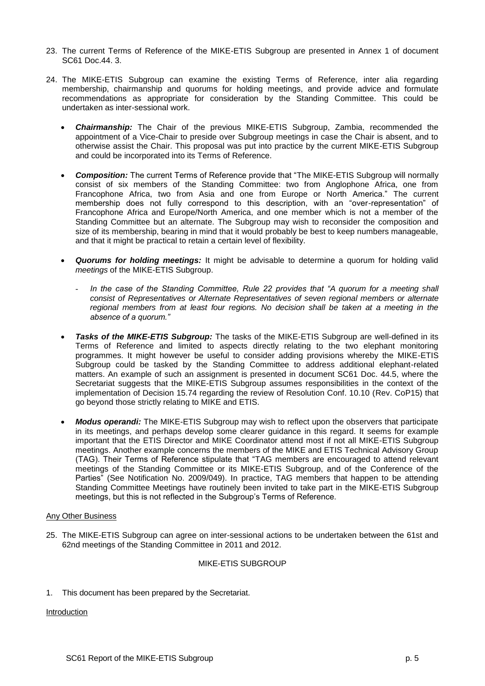- 23. The current Terms of Reference of the MIKE-ETIS Subgroup are presented in Annex 1 of document SC61 Doc.44. 3.
- 24. The MIKE-ETIS Subgroup can examine the existing Terms of Reference, inter alia regarding membership, chairmanship and quorums for holding meetings, and provide advice and formulate recommendations as appropriate for consideration by the Standing Committee. This could be undertaken as inter-sessional work.
	- *Chairmanship:* The Chair of the previous MIKE-ETIS Subgroup, Zambia, recommended the appointment of a Vice-Chair to preside over Subgroup meetings in case the Chair is absent, and to otherwise assist the Chair. This proposal was put into practice by the current MIKE-ETIS Subgroup and could be incorporated into its Terms of Reference.
	- *Composition:* The current Terms of Reference provide that "The MIKE-ETIS Subgroup will normally consist of six members of the Standing Committee: two from Anglophone Africa, one from Francophone Africa, two from Asia and one from Europe or North America." The current membership does not fully correspond to this description, with an "over-representation" of Francophone Africa and Europe/North America, and one member which is not a member of the Standing Committee but an alternate. The Subgroup may wish to reconsider the composition and size of its membership, bearing in mind that it would probably be best to keep numbers manageable, and that it might be practical to retain a certain level of flexibility.
	- *Quorums for holding meetings:* It might be advisable to determine a quorum for holding valid *meetings* of the MIKE-ETIS Subgroup.
		- In the case of the Standing Committee, Rule 22 provides that "A quorum for a meeting shall *consist of Representatives or Alternate Representatives of seven regional members or alternate regional members from at least four regions. No decision shall be taken at a meeting in the absence of a quorum."*
	- *Tasks of the MIKE-ETIS Subgroup:* The tasks of the MIKE-ETIS Subgroup are well-defined in its Terms of Reference and limited to aspects directly relating to the two elephant monitoring programmes. It might however be useful to consider adding provisions whereby the MIKE-ETIS Subgroup could be tasked by the Standing Committee to address additional elephant-related matters. An example of such an assignment is presented in document SC61 Doc. 44.5, where the Secretariat suggests that the MIKE-ETIS Subgroup assumes responsibilities in the context of the implementation of Decision 15.74 regarding the review of Resolution Conf. 10.10 (Rev. CoP15) that go beyond those strictly relating to MIKE and ETIS.
	- *Modus operandi:* The MIKE-ETIS Subgroup may wish to reflect upon the observers that participate in its meetings, and perhaps develop some clearer guidance in this regard. It seems for example important that the ETIS Director and MIKE Coordinator attend most if not all MIKE-ETIS Subgroup meetings. Another example concerns the members of the MIKE and ETIS Technical Advisory Group (TAG). Their Terms of Reference stipulate that "TAG members are encouraged to attend relevant meetings of the Standing Committee or its MIKE-ETIS Subgroup, and of the Conference of the Parties" (See Notification No. 2009/049). In practice, TAG members that happen to be attending Standing Committee Meetings have routinely been invited to take part in the MIKE-ETIS Subgroup meetings, but this is not reflected in the Subgroup's Terms of Reference.

# Any Other Business

25. The MIKE-ETIS Subgroup can agree on inter-sessional actions to be undertaken between the 61st and 62nd meetings of the Standing Committee in 2011 and 2012.

#### MIKE-ETIS SUBGROUP

1. This document has been prepared by the Secretariat.

# Introduction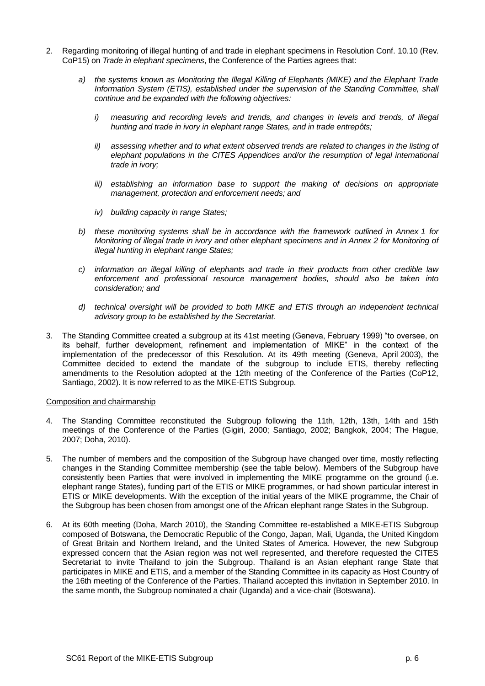- 2. Regarding monitoring of illegal hunting of and trade in elephant specimens in Resolution Conf. 10.10 (Rev. CoP15) on *Trade in elephant specimens*, the Conference of the Parties agrees that:
	- *a) the systems known as Monitoring the Illegal Killing of Elephants (MIKE) and the Elephant Trade Information System (ETIS), established under the supervision of the Standing Committee, shall continue and be expanded with the following objectives:*
		- *i*) measuring and recording levels and trends, and changes in levels and trends, of illegal *hunting and trade in ivory in elephant range States, and in trade entrepôts;*
		- *ii) assessing whether and to what extent observed trends are related to changes in the listing of elephant populations in the CITES Appendices and/or the resumption of legal international trade in ivory;*
		- *iii) establishing an information base to support the making of decisions on appropriate management, protection and enforcement needs; and*
		- *iv) building capacity in range States;*
	- *b) these monitoring systems shall be in accordance with the framework outlined in Annex 1 for Monitoring of illegal trade in ivory and other elephant specimens and in Annex 2 for Monitoring of illegal hunting in elephant range States;*
	- *c) information on illegal killing of elephants and trade in their products from other credible law enforcement and professional resource management bodies, should also be taken into consideration; and*
	- *d) technical oversight will be provided to both MIKE and ETIS through an independent technical advisory group to be established by the Secretariat.*
- 3. The Standing Committee created a subgroup at its 41st meeting (Geneva, February 1999) "to oversee, on its behalf, further development, refinement and implementation of MIKE" in the context of the implementation of the predecessor of this Resolution. At its 49th meeting (Geneva, April 2003), the Committee decided to extend the mandate of the subgroup to include ETIS, thereby reflecting amendments to the Resolution adopted at the 12th meeting of the Conference of the Parties (CoP12, Santiago, 2002). It is now referred to as the MIKE-ETIS Subgroup.

#### Composition and chairmanship

- 4. The Standing Committee reconstituted the Subgroup following the 11th, 12th, 13th, 14th and 15th meetings of the Conference of the Parties (Gigiri, 2000; Santiago, 2002; Bangkok, 2004; The Hague, 2007; Doha, 2010).
- 5. The number of members and the composition of the Subgroup have changed over time, mostly reflecting changes in the Standing Committee membership (see the table below). Members of the Subgroup have consistently been Parties that were involved in implementing the MIKE programme on the ground (i.e. elephant range States), funding part of the ETIS or MIKE programmes, or had shown particular interest in ETIS or MIKE developments. With the exception of the initial years of the MIKE programme, the Chair of the Subgroup has been chosen from amongst one of the African elephant range States in the Subgroup.
- 6. At its 60th meeting (Doha, March 2010), the Standing Committee re-established a MIKE-ETIS Subgroup composed of Botswana, the Democratic Republic of the Congo, Japan, Mali, Uganda, the United Kingdom of Great Britain and Northern Ireland, and the United States of America. However, the new Subgroup expressed concern that the Asian region was not well represented, and therefore requested the CITES Secretariat to invite Thailand to join the Subgroup. Thailand is an Asian elephant range State that participates in MIKE and ETIS, and a member of the Standing Committee in its capacity as Host Country of the 16th meeting of the Conference of the Parties. Thailand accepted this invitation in September 2010. In the same month, the Subgroup nominated a chair (Uganda) and a vice-chair (Botswana).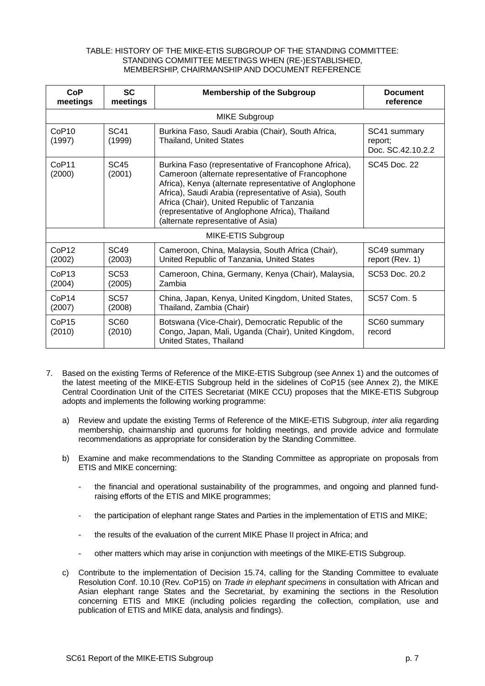## TABLE: HISTORY OF THE MIKE-ETIS SUBGROUP OF THE STANDING COMMITTEE: STANDING COMMITTEE MEETINGS WHEN (RE-)ESTABLISHED, MEMBERSHIP, CHAIRMANSHIP AND DOCUMENT REFERENCE

| CoP<br>meetings             | <b>SC</b><br>meetings      | <b>Membership of the Subgroup</b>                                                                                                                                                                                                                                                                                                                                    | <b>Document</b><br>reference                 |
|-----------------------------|----------------------------|----------------------------------------------------------------------------------------------------------------------------------------------------------------------------------------------------------------------------------------------------------------------------------------------------------------------------------------------------------------------|----------------------------------------------|
| <b>MIKE Subgroup</b>        |                            |                                                                                                                                                                                                                                                                                                                                                                      |                                              |
| CoP10<br>(1997)             | SC <sub>41</sub><br>(1999) | Burkina Faso, Saudi Arabia (Chair), South Africa,<br><b>Thailand, United States</b>                                                                                                                                                                                                                                                                                  | SC41 summary<br>report:<br>Doc. SC.42.10.2.2 |
| CoP <sub>11</sub><br>(2000) | <b>SC45</b><br>(2001)      | Burkina Faso (representative of Francophone Africa),<br>Cameroon (alternate representative of Francophone<br>Africa), Kenya (alternate representative of Anglophone<br>Africa), Saudi Arabia (representative of Asia), South<br>Africa (Chair), United Republic of Tanzania<br>(representative of Anglophone Africa), Thailand<br>(alternate representative of Asia) | SC45 Doc. 22                                 |
| MIKE-ETIS Subgroup          |                            |                                                                                                                                                                                                                                                                                                                                                                      |                                              |
| CoP <sub>12</sub><br>(2002) | <b>SC49</b><br>(2003)      | Cameroon, China, Malaysia, South Africa (Chair),<br>United Republic of Tanzania, United States                                                                                                                                                                                                                                                                       | SC49 summary<br>report (Rev. 1)              |
| CoP <sub>13</sub><br>(2004) | SC <sub>53</sub><br>(2005) | Cameroon, China, Germany, Kenya (Chair), Malaysia,<br>Zambia                                                                                                                                                                                                                                                                                                         | SC53 Doc. 20.2                               |
| CoP <sub>14</sub><br>(2007) | <b>SC57</b><br>(2008)      | China, Japan, Kenya, United Kingdom, United States,<br>Thailand, Zambia (Chair)                                                                                                                                                                                                                                                                                      | SC57 Com. 5                                  |
| CoP15<br>(2010)             | <b>SC60</b><br>(2010)      | Botswana (Vice-Chair), Democratic Republic of the<br>Congo, Japan, Mali, Uganda (Chair), United Kingdom,<br>United States, Thailand                                                                                                                                                                                                                                  | SC60 summary<br>record                       |

- 7. Based on the existing Terms of Reference of the MIKE-ETIS Subgroup (see Annex 1) and the outcomes of the latest meeting of the MIKE-ETIS Subgroup held in the sidelines of CoP15 (see Annex 2), the MIKE Central Coordination Unit of the CITES Secretariat (MIKE CCU) proposes that the MIKE-ETIS Subgroup adopts and implements the following working programme:
	- a) Review and update the existing Terms of Reference of the MIKE-ETIS Subgroup, *inter alia* regarding membership, chairmanship and quorums for holding meetings, and provide advice and formulate recommendations as appropriate for consideration by the Standing Committee.
	- b) Examine and make recommendations to the Standing Committee as appropriate on proposals from ETIS and MIKE concerning:
		- the financial and operational sustainability of the programmes, and ongoing and planned fundraising efforts of the ETIS and MIKE programmes;
		- the participation of elephant range States and Parties in the implementation of ETIS and MIKE;
		- the results of the evaluation of the current MIKE Phase II project in Africa; and
		- other matters which may arise in conjunction with meetings of the MIKE-ETIS Subgroup.
	- c) Contribute to the implementation of Decision 15.74, calling for the Standing Committee to evaluate Resolution Conf. 10.10 (Rev. CoP15) on *Trade in elephant specimens* in consultation with African and Asian elephant range States and the Secretariat, by examining the sections in the Resolution concerning ETIS and MIKE (including policies regarding the collection, compilation, use and publication of ETIS and MIKE data, analysis and findings).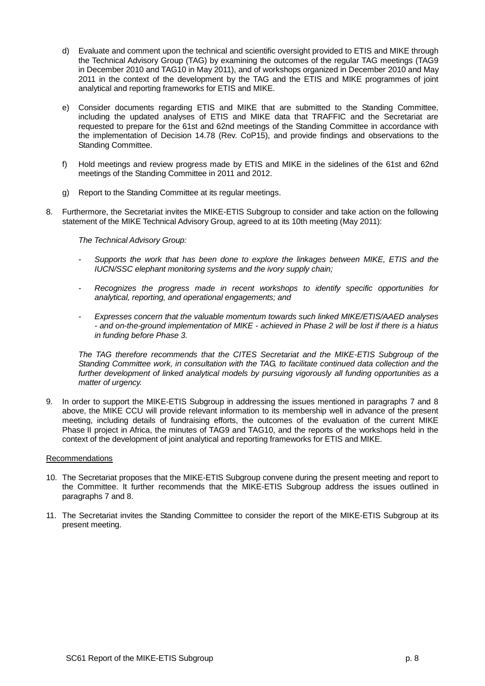- d) Evaluate and comment upon the technical and scientific oversight provided to ETIS and MIKE through the Technical Advisory Group (TAG) by examining the outcomes of the regular TAG meetings (TAG9 in December 2010 and TAG10 in May 2011), and of workshops organized in December 2010 and May 2011 in the context of the development by the TAG and the ETIS and MIKE programmes of joint analytical and reporting frameworks for ETIS and MIKE.
- e) Consider documents regarding ETIS and MIKE that are submitted to the Standing Committee, including the updated analyses of ETIS and MIKE data that TRAFFIC and the Secretariat are requested to prepare for the 61st and 62nd meetings of the Standing Committee in accordance with the implementation of Decision 14.78 (Rev. CoP15), and provide findings and observations to the Standing Committee.
- f) Hold meetings and review progress made by ETIS and MIKE in the sidelines of the 61st and 62nd meetings of the Standing Committee in 2011 and 2012.
- g) Report to the Standing Committee at its regular meetings.
- 8. Furthermore, the Secretariat invites the MIKE-ETIS Subgroup to consider and take action on the following statement of the MIKE Technical Advisory Group, agreed to at its 10th meeting (May 2011):

*The Technical Advisory Group:*

- *- Supports the work that has been done to explore the linkages between MIKE, ETIS and the IUCN/SSC elephant monitoring systems and the ivory supply chain;*
- *- Recognizes the progress made in recent workshops to identify specific opportunities for analytical, reporting, and operational engagements; and*
- *- Expresses concern that the valuable momentum towards such linked MIKE/ETIS/AAED analyses - and on-the-ground implementation of MIKE - achieved in Phase 2 will be lost if there is a hiatus in funding before Phase 3.*

*The TAG therefore recommends that the CITES Secretariat and the MIKE-ETIS Subgroup of the Standing Committee work, in consultation with the TAG, to facilitate continued data collection and the further development of linked analytical models by pursuing vigorously all funding opportunities as a matter of urgency.*

9. In order to support the MIKE-ETIS Subgroup in addressing the issues mentioned in paragraphs 7 and 8 above, the MIKE CCU will provide relevant information to its membership well in advance of the present meeting, including details of fundraising efforts, the outcomes of the evaluation of the current MIKE Phase II project in Africa, the minutes of TAG9 and TAG10, and the reports of the workshops held in the context of the development of joint analytical and reporting frameworks for ETIS and MIKE.

#### Recommendations

- 10. The Secretariat proposes that the MIKE-ETIS Subgroup convene during the present meeting and report to the Committee. It further recommends that the MIKE-ETIS Subgroup address the issues outlined in paragraphs 7 and 8.
- 11. The Secretariat invites the Standing Committee to consider the report of the MIKE-ETIS Subgroup at its present meeting.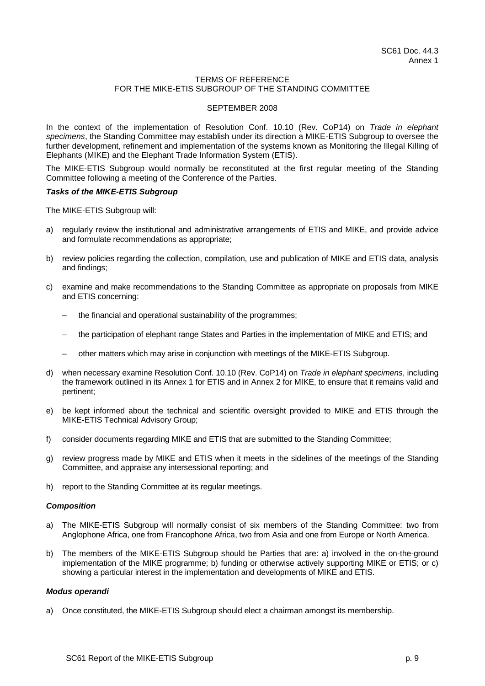## TERMS OF REFERENCE FOR THE MIKE-ETIS SUBGROUP OF THE STANDING COMMITTEE

## SEPTEMBER 2008

In the context of the implementation of Resolution Conf. 10.10 (Rev. CoP14) on *Trade in elephant specimens*, the Standing Committee may establish under its direction a MIKE-ETIS Subgroup to oversee the further development, refinement and implementation of the systems known as Monitoring the Illegal Killing of Elephants (MIKE) and the Elephant Trade Information System (ETIS).

The MIKE-ETIS Subgroup would normally be reconstituted at the first regular meeting of the Standing Committee following a meeting of the Conference of the Parties.

#### *Tasks of the MIKE-ETIS Subgroup*

The MIKE-ETIS Subgroup will:

- a) regularly review the institutional and administrative arrangements of ETIS and MIKE, and provide advice and formulate recommendations as appropriate;
- b) review policies regarding the collection, compilation, use and publication of MIKE and ETIS data, analysis and findings;
- c) examine and make recommendations to the Standing Committee as appropriate on proposals from MIKE and ETIS concerning:
	- the financial and operational sustainability of the programmes;
	- the participation of elephant range States and Parties in the implementation of MIKE and ETIS; and
	- other matters which may arise in conjunction with meetings of the MIKE-ETIS Subgroup.
- d) when necessary examine Resolution Conf. 10.10 (Rev. CoP14) on *Trade in elephant specimens*, including the framework outlined in its Annex 1 for ETIS and in Annex 2 for MIKE, to ensure that it remains valid and pertinent;
- e) be kept informed about the technical and scientific oversight provided to MIKE and ETIS through the MIKE-ETIS Technical Advisory Group;
- f) consider documents regarding MIKE and ETIS that are submitted to the Standing Committee;
- g) review progress made by MIKE and ETIS when it meets in the sidelines of the meetings of the Standing Committee, and appraise any intersessional reporting; and
- h) report to the Standing Committee at its regular meetings.

# *Composition*

- a) The MIKE-ETIS Subgroup will normally consist of six members of the Standing Committee: two from Anglophone Africa, one from Francophone Africa, two from Asia and one from Europe or North America.
- b) The members of the MIKE-ETIS Subgroup should be Parties that are: a) involved in the on-the-ground implementation of the MIKE programme; b) funding or otherwise actively supporting MIKE or ETIS; or c) showing a particular interest in the implementation and developments of MIKE and ETIS.

### *Modus operandi*

a) Once constituted, the MIKE-ETIS Subgroup should elect a chairman amongst its membership.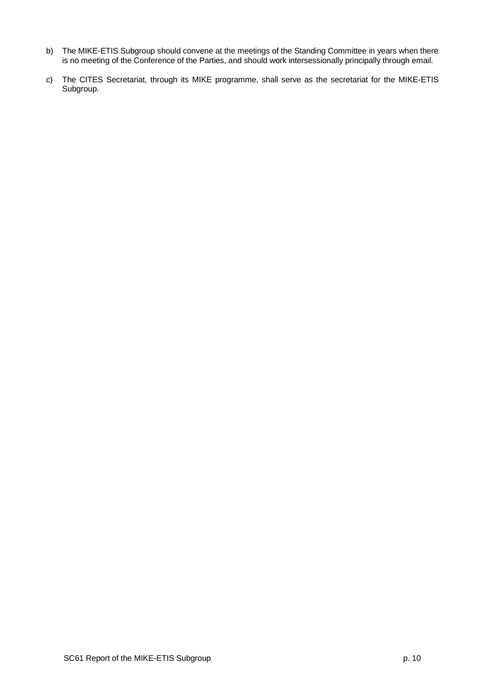- b) The MIKE-ETIS Subgroup should convene at the meetings of the Standing Committee in years when there is no meeting of the Conference of the Parties, and should work intersessionally principally through email.
- c) The CITES Secretariat, through its MIKE programme, shall serve as the secretariat for the MIKE-ETIS Subgroup.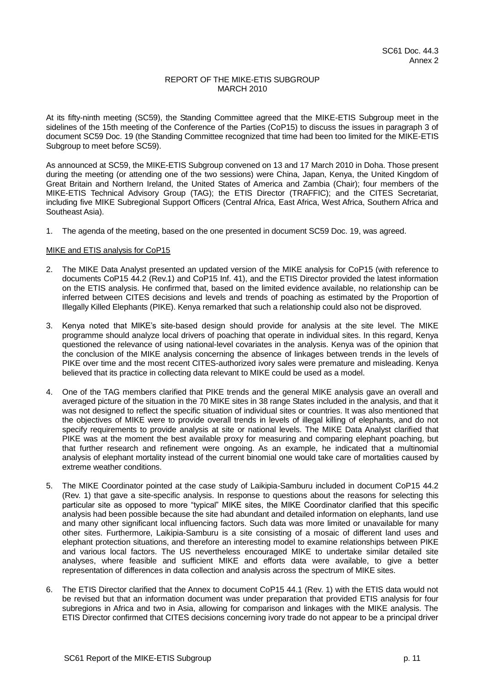# REPORT OF THE MIKE-ETIS SUBGROUP MARCH 2010

At its fifty-ninth meeting (SC59), the Standing Committee agreed that the MIKE-ETIS Subgroup meet in the sidelines of the 15th meeting of the Conference of the Parties (CoP15) to discuss the issues in paragraph 3 of document SC59 Doc. 19 (the Standing Committee recognized that time had been too limited for the MIKE-ETIS Subgroup to meet before SC59).

As announced at SC59, the MIKE-ETIS Subgroup convened on 13 and 17 March 2010 in Doha. Those present during the meeting (or attending one of the two sessions) were China, Japan, Kenya, the United Kingdom of Great Britain and Northern Ireland, the United States of America and Zambia (Chair); four members of the MIKE-ETIS Technical Advisory Group (TAG); the ETIS Director (TRAFFIC); and the CITES Secretariat, including five MIKE Subregional Support Officers (Central Africa, East Africa, West Africa, Southern Africa and Southeast Asia).

1. The agenda of the meeting, based on the one presented in document SC59 Doc. 19, was agreed.

## MIKE and ETIS analysis for CoP15

- 2. The MIKE Data Analyst presented an updated version of the MIKE analysis for CoP15 (with reference to documents CoP15 44.2 (Rev.1) and CoP15 Inf. 41), and the ETIS Director provided the latest information on the ETIS analysis. He confirmed that, based on the limited evidence available, no relationship can be inferred between CITES decisions and levels and trends of poaching as estimated by the Proportion of Illegally Killed Elephants (PIKE). Kenya remarked that such a relationship could also not be disproved.
- 3. Kenya noted that MIKE's site-based design should provide for analysis at the site level. The MIKE programme should analyze local drivers of poaching that operate in individual sites. In this regard, Kenya questioned the relevance of using national-level covariates in the analysis. Kenya was of the opinion that the conclusion of the MIKE analysis concerning the absence of linkages between trends in the levels of PIKE over time and the most recent CITES-authorized ivory sales were premature and misleading. Kenya believed that its practice in collecting data relevant to MIKE could be used as a model.
- 4. One of the TAG members clarified that PIKE trends and the general MIKE analysis gave an overall and averaged picture of the situation in the 70 MIKE sites in 38 range States included in the analysis, and that it was not designed to reflect the specific situation of individual sites or countries. It was also mentioned that the objectives of MIKE were to provide overall trends in levels of illegal killing of elephants, and do not specify requirements to provide analysis at site or national levels. The MIKE Data Analyst clarified that PIKE was at the moment the best available proxy for measuring and comparing elephant poaching, but that further research and refinement were ongoing. As an example, he indicated that a multinomial analysis of elephant mortality instead of the current binomial one would take care of mortalities caused by extreme weather conditions.
- 5. The MIKE Coordinator pointed at the case study of Laikipia-Samburu included in document CoP15 44.2 (Rev. 1) that gave a site-specific analysis. In response to questions about the reasons for selecting this particular site as opposed to more "typical" MIKE sites, the MIKE Coordinator clarified that this specific analysis had been possible because the site had abundant and detailed information on elephants, land use and many other significant local influencing factors. Such data was more limited or unavailable for many other sites. Furthermore, Laikipia-Samburu is a site consisting of a mosaic of different land uses and elephant protection situations, and therefore an interesting model to examine relationships between PIKE and various local factors. The US nevertheless encouraged MIKE to undertake similar detailed site analyses, where feasible and sufficient MIKE and efforts data were available, to give a better representation of differences in data collection and analysis across the spectrum of MIKE sites.
- 6. The ETIS Director clarified that the Annex to document CoP15 44.1 (Rev. 1) with the ETIS data would not be revised but that an information document was under preparation that provided ETIS analysis for four subregions in Africa and two in Asia, allowing for comparison and linkages with the MIKE analysis. The ETIS Director confirmed that CITES decisions concerning ivory trade do not appear to be a principal driver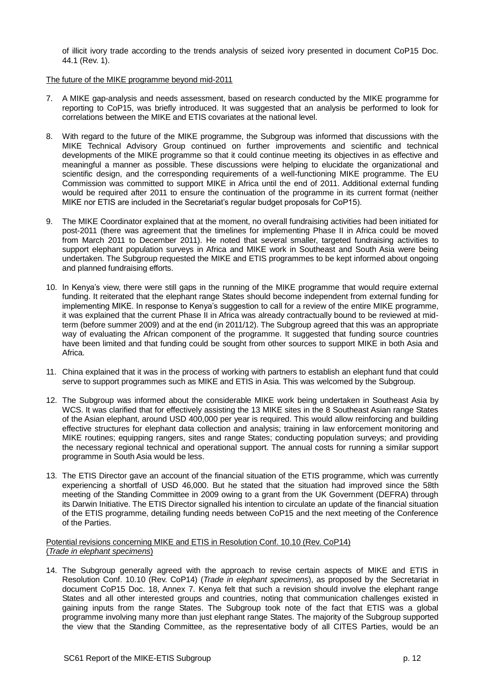of illicit ivory trade according to the trends analysis of seized ivory presented in document CoP15 Doc. 44.1 (Rev. 1).

## The future of the MIKE programme beyond mid-2011

- 7. A MIKE gap-analysis and needs assessment, based on research conducted by the MIKE programme for reporting to CoP15, was briefly introduced. It was suggested that an analysis be performed to look for correlations between the MIKE and ETIS covariates at the national level.
- 8. With regard to the future of the MIKE programme, the Subgroup was informed that discussions with the MIKE Technical Advisory Group continued on further improvements and scientific and technical developments of the MIKE programme so that it could continue meeting its objectives in as effective and meaningful a manner as possible. These discussions were helping to elucidate the organizational and scientific design, and the corresponding requirements of a well-functioning MIKE programme. The EU Commission was committed to support MIKE in Africa until the end of 2011. Additional external funding would be required after 2011 to ensure the continuation of the programme in its current format (neither MIKE nor ETIS are included in the Secretariat's regular budget proposals for CoP15).
- 9. The MIKE Coordinator explained that at the moment, no overall fundraising activities had been initiated for post-2011 (there was agreement that the timelines for implementing Phase II in Africa could be moved from March 2011 to December 2011). He noted that several smaller, targeted fundraising activities to support elephant population surveys in Africa and MIKE work in Southeast and South Asia were being undertaken. The Subgroup requested the MIKE and ETIS programmes to be kept informed about ongoing and planned fundraising efforts.
- 10. In Kenya's view, there were still gaps in the running of the MIKE programme that would require external funding. It reiterated that the elephant range States should become independent from external funding for implementing MIKE. In response to Kenya's suggestion to call for a review of the entire MIKE programme, it was explained that the current Phase II in Africa was already contractually bound to be reviewed at midterm (before summer 2009) and at the end (in 2011/12). The Subgroup agreed that this was an appropriate way of evaluating the African component of the programme. It suggested that funding source countries have been limited and that funding could be sought from other sources to support MIKE in both Asia and Africa.
- 11. China explained that it was in the process of working with partners to establish an elephant fund that could serve to support programmes such as MIKE and ETIS in Asia. This was welcomed by the Subgroup.
- 12. The Subgroup was informed about the considerable MIKE work being undertaken in Southeast Asia by WCS. It was clarified that for effectively assisting the 13 MIKE sites in the 8 Southeast Asian range States of the Asian elephant, around USD 400,000 per year is required. This would allow reinforcing and building effective structures for elephant data collection and analysis; training in law enforcement monitoring and MIKE routines; equipping rangers, sites and range States; conducting population surveys; and providing the necessary regional technical and operational support. The annual costs for running a similar support programme in South Asia would be less.
- 13. The ETIS Director gave an account of the financial situation of the ETIS programme, which was currently experiencing a shortfall of USD 46,000. But he stated that the situation had improved since the 58th meeting of the Standing Committee in 2009 owing to a grant from the UK Government (DEFRA) through its Darwin Initiative. The ETIS Director signalled his intention to circulate an update of the financial situation of the ETIS programme, detailing funding needs between CoP15 and the next meeting of the Conference of the Parties.

### Potential revisions concerning MIKE and ETIS in Resolution Conf. 10.10 (Rev. CoP14) (*Trade in elephant specimens*)

14. The Subgroup generally agreed with the approach to revise certain aspects of MIKE and ETIS in Resolution Conf. 10.10 (Rev. CoP14) (*Trade in elephant specimens*), as proposed by the Secretariat in document CoP15 Doc. 18, Annex 7. Kenya felt that such a revision should involve the elephant range States and all other interested groups and countries, noting that communication challenges existed in gaining inputs from the range States. The Subgroup took note of the fact that ETIS was a global programme involving many more than just elephant range States. The majority of the Subgroup supported the view that the Standing Committee, as the representative body of all CITES Parties, would be an